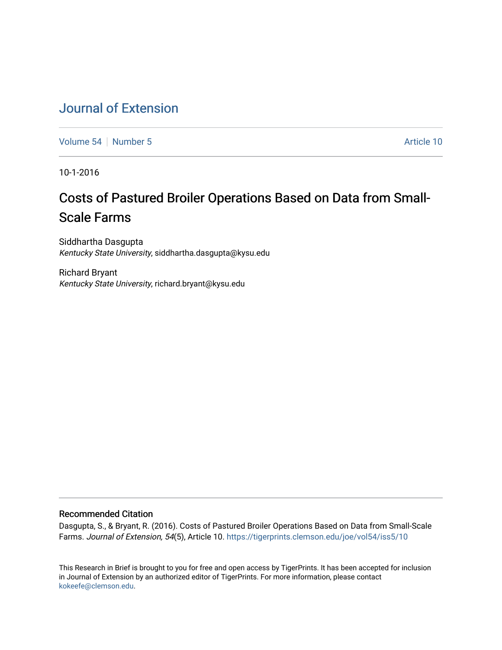# [Journal of Extension](https://tigerprints.clemson.edu/joe)

[Volume 54](https://tigerprints.clemson.edu/joe/vol54) [Number 5](https://tigerprints.clemson.edu/joe/vol54/iss5) Article 10

10-1-2016

# Costs of Pastured Broiler Operations Based on Data from Small-Scale Farms

Siddhartha Dasgupta Kentucky State University, siddhartha.dasgupta@kysu.edu

Richard Bryant Kentucky State University, richard.bryant@kysu.edu

#### Recommended Citation

Dasgupta, S., & Bryant, R. (2016). Costs of Pastured Broiler Operations Based on Data from Small-Scale Farms. Journal of Extension, 54(5), Article 10. https://tigerprints.clemson.edu/joe/vol54/iss5/10

This Research in Brief is brought to you for free and open access by TigerPrints. It has been accepted for inclusion in Journal of Extension by an authorized editor of TigerPrints. For more information, please contact [kokeefe@clemson.edu](mailto:kokeefe@clemson.edu).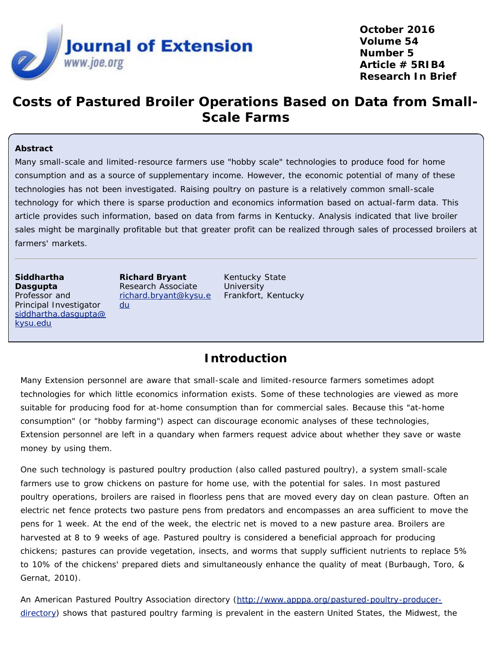

**October 2016 Volume 54 Number 5 Article # 5RIB4 Research In Brief**

# **Costs of Pastured Broiler Operations Based on Data from Small-Scale Farms**

#### **Abstract**

Many small-scale and limited-resource farmers use "hobby scale" technologies to produce food for home consumption and as a source of supplementary income. However, the economic potential of many of these technologies has not been investigated. Raising poultry on pasture is a relatively common small-scale technology for which there is sparse production and economics information based on actual-farm data. This article provides such information, based on data from farms in Kentucky. Analysis indicated that live broiler sales might be marginally profitable but that greater profit can be realized through sales of processed broilers at farmers' markets.

**Siddhartha Dasgupta** Professor and Principal Investigator [siddhartha.dasgupta@](mailto:siddhartha.dasgupta@kysu.edu) [kysu.edu](mailto:siddhartha.dasgupta@kysu.edu)

**Richard Bryant** Research Associate [richard.bryant@kysu.e](mailto:richard.bryant@kysu.edu) Frankfort, Kentucky[du](mailto:richard.bryant@kysu.edu)

Kentucky State **University** 

### **Introduction**

Many Extension personnel are aware that small-scale and limited-resource farmers sometimes adopt technologies for which little economics information exists. Some of these technologies are viewed as more suitable for producing food for at-home consumption than for commercial sales. Because this "at-home consumption" (or "hobby farming") aspect can discourage economic analyses of these technologies, Extension personnel are left in a quandary when farmers request advice about whether they save or waste money by using them.

One such technology is pastured poultry production (also called pastured poultry), a system small-scale farmers use to grow chickens on pasture for home use, with the potential for sales. In most pastured poultry operations, broilers are raised in floorless pens that are moved every day on clean pasture. Often an electric net fence protects two pasture pens from predators and encompasses an area sufficient to move the pens for 1 week. At the end of the week, the electric net is moved to a new pasture area. Broilers are harvested at 8 to 9 weeks of age. Pastured poultry is considered a beneficial approach for producing chickens; pastures can provide vegetation, insects, and worms that supply sufficient nutrients to replace 5% to 10% of the chickens' prepared diets and simultaneously enhance the quality of meat (Burbaugh, Toro, & Gernat, 2010).

An American Pastured Poultry Association directory ([http://www.apppa.org/pastured-poultry-producer](http://www.apppa.org/pastured-poultry-producer-directory)[directory\)](http://www.apppa.org/pastured-poultry-producer-directory) shows that pastured poultry farming is prevalent in the eastern United States, the Midwest, the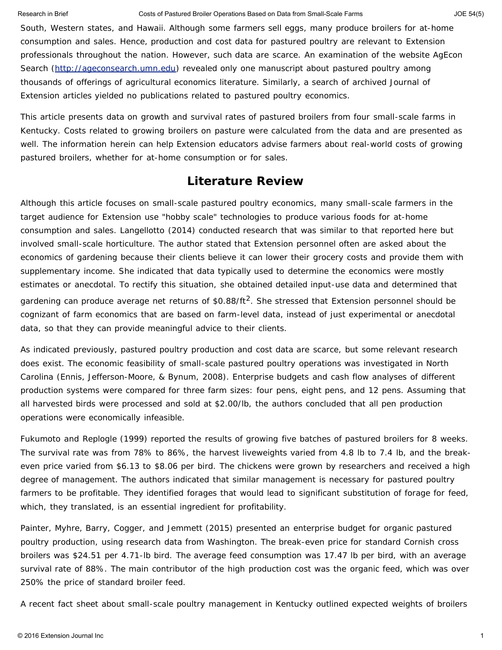#### Research in Brief **Contain Costs of Pastured Broiler Operations Based on Data from Small-Scale Farms** JOE 54(5) JOE 54(5)

South, Western states, and Hawaii. Although some farmers sell eggs, many produce broilers for at-home consumption and sales. Hence, production and cost data for pastured poultry are relevant to Extension professionals throughout the nation. However, such data are scarce. An examination of the website AgEcon Search ([http://ageconsearch.umn.edu\)](http://ageconsearch.umn.edu/) revealed only one manuscript about pastured poultry among thousands of offerings of agricultural economics literature. Similarly, a search of archived *Journal of Extension* articles yielded no publications related to pastured poultry economics.

This article presents data on growth and survival rates of pastured broilers from four small-scale farms in Kentucky. Costs related to growing broilers on pasture were calculated from the data and are presented as well. The information herein can help Extension educators advise farmers about real-world costs of growing pastured broilers, whether for at-home consumption or for sales.

### **Literature Review**

Although this article focuses on small-scale pastured poultry economics, many small-scale farmers in the target audience for Extension use "hobby scale" technologies to produce various foods for at-home consumption and sales. Langellotto (2014) conducted research that was similar to that reported here but involved small-scale horticulture. The author stated that Extension personnel often are asked about the economics of gardening because their clients believe it can lower their grocery costs and provide them with supplementary income. She indicated that data typically used to determine the economics were mostly estimates or anecdotal. To rectify this situation, she obtained detailed input-use data and determined that gardening can produce average net returns of  $$0.88/ft^2$ . She stressed that Extension personnel should be cognizant of farm economics that are based on farm-level data, instead of just experimental or anecdotal data, so that they can provide meaningful advice to their clients.

As indicated previously, pastured poultry production and cost data are scarce, but some relevant research does exist. The economic feasibility of small-scale pastured poultry operations was investigated in North Carolina (Ennis, Jefferson-Moore, & Bynum, 2008). Enterprise budgets and cash flow analyses of different production systems were compared for three farm sizes: four pens, eight pens, and 12 pens. Assuming that all harvested birds were processed and sold at \$2.00/lb, the authors concluded that all pen production operations were economically infeasible.

Fukumoto and Replogle (1999) reported the results of growing five batches of pastured broilers for 8 weeks. The survival rate was from 78% to 86%, the harvest liveweights varied from 4.8 lb to 7.4 lb, and the breakeven price varied from \$6.13 to \$8.06 per bird. The chickens were grown by researchers and received a high degree of management. The authors indicated that similar management is necessary for pastured poultry farmers to be profitable. They identified forages that would lead to significant substitution of forage for feed, which, they translated, is an essential ingredient for profitability.

Painter, Myhre, Barry, Cogger, and Jemmett (2015) presented an enterprise budget for organic pastured poultry production, using research data from Washington. The break-even price for standard Cornish cross broilers was \$24.51 per 4.71-lb bird. The average feed consumption was 17.47 lb per bird, with an average survival rate of 88%. The main contributor of the high production cost was the organic feed, which was over 250% the price of standard broiler feed.

A recent fact sheet about small-scale poultry management in Kentucky outlined expected weights of broilers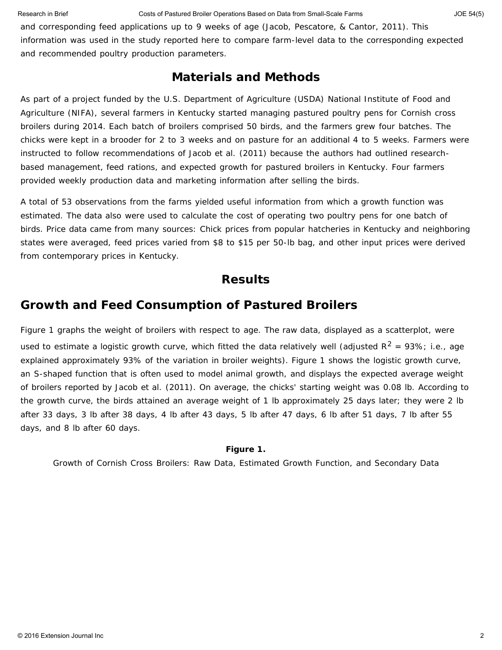Research in Brief **Costs of Pastured Broiler Operations Based on Data from Small-Scale Farms** JOE 54(5) JOE 54(5)

and corresponding feed applications up to 9 weeks of age (Jacob, Pescatore, & Cantor, 2011). This information was used in the study reported here to compare farm-level data to the corresponding expected and recommended poultry production parameters.

## **Materials and Methods**

As part of a project funded by the U.S. Department of Agriculture (USDA) National Institute of Food and Agriculture (NIFA), several farmers in Kentucky started managing pastured poultry pens for Cornish cross broilers during 2014. Each batch of broilers comprised 50 birds, and the farmers grew four batches. The chicks were kept in a brooder for 2 to 3 weeks and on pasture for an additional 4 to 5 weeks. Farmers were instructed to follow recommendations of Jacob et al. (2011) because the authors had outlined researchbased management, feed rations, and expected growth for pastured broilers in Kentucky. Four farmers provided weekly production data and marketing information after selling the birds.

A total of 53 observations from the farms yielded useful information from which a growth function was estimated. The data also were used to calculate the cost of operating two poultry pens for one batch of birds. Price data came from many sources: Chick prices from popular hatcheries in Kentucky and neighboring states were averaged, feed prices varied from \$8 to \$15 per 50-lb bag, and other input prices were derived from contemporary prices in Kentucky.

### **Results**

## **Growth and Feed Consumption of Pastured Broilers**

Figure 1 graphs the weight of broilers with respect to age. The raw data, displayed as a scatterplot, were used to estimate a logistic growth curve, which fitted the data relatively well (adjusted  $R^2 = 93\%$ ; i.e., age explained approximately 93% of the variation in broiler weights). Figure 1 shows the logistic growth curve, an S-shaped function that is often used to model animal growth, and displays the expected average weight of broilers reported by Jacob et al. (2011). On average, the chicks' starting weight was 0.08 lb. According to the growth curve, the birds attained an average weight of 1 lb approximately 25 days later; they were 2 lb after 33 days, 3 lb after 38 days, 4 lb after 43 days, 5 lb after 47 days, 6 lb after 51 days, 7 lb after 55 days, and 8 lb after 60 days.

#### **Figure 1.**

Growth of Cornish Cross Broilers: Raw Data, Estimated Growth Function, and Secondary Data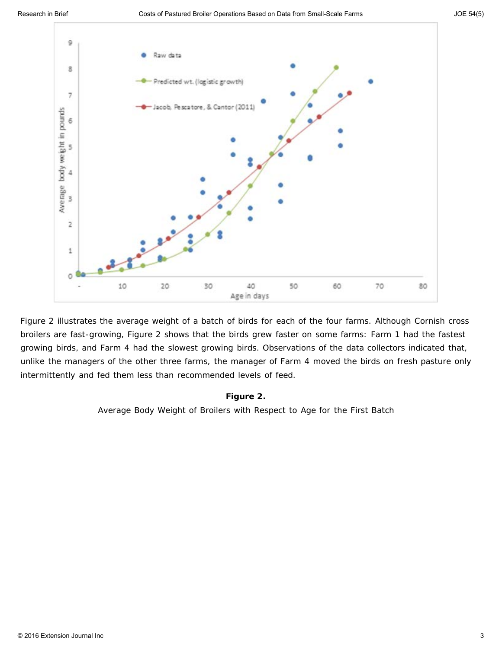

Figure 2 illustrates the average weight of a batch of birds for each of the four farms. Although Cornish cross broilers are fast-growing, Figure 2 shows that the birds grew faster on some farms: Farm 1 had the fastest growing birds, and Farm 4 had the slowest growing birds. Observations of the data collectors indicated that, unlike the managers of the other three farms, the manager of Farm 4 moved the birds on fresh pasture only intermittently and fed them less than recommended levels of feed.

#### **Figure 2.**

Average Body Weight of Broilers with Respect to Age for the First Batch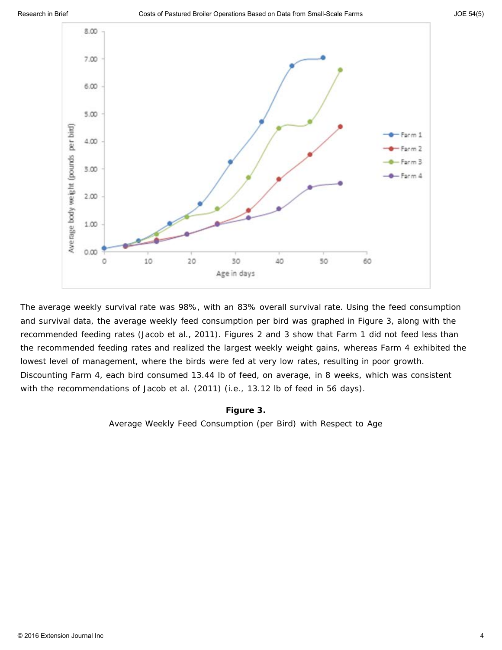

The average weekly survival rate was 98%, with an 83% overall survival rate. Using the feed consumption and survival data, the average weekly feed consumption per bird was graphed in Figure 3, along with the recommended feeding rates (Jacob et al., 2011). Figures 2 and 3 show that Farm 1 did not feed less than the recommended feeding rates and realized the largest weekly weight gains, whereas Farm 4 exhibited the lowest level of management, where the birds were fed at very low rates, resulting in poor growth. Discounting Farm 4, each bird consumed 13.44 lb of feed, on average, in 8 weeks, which was consistent with the recommendations of Jacob et al. (2011) (i.e., 13.12 lb of feed in 56 days).

#### **Figure 3.**

Average Weekly Feed Consumption (per Bird) with Respect to Age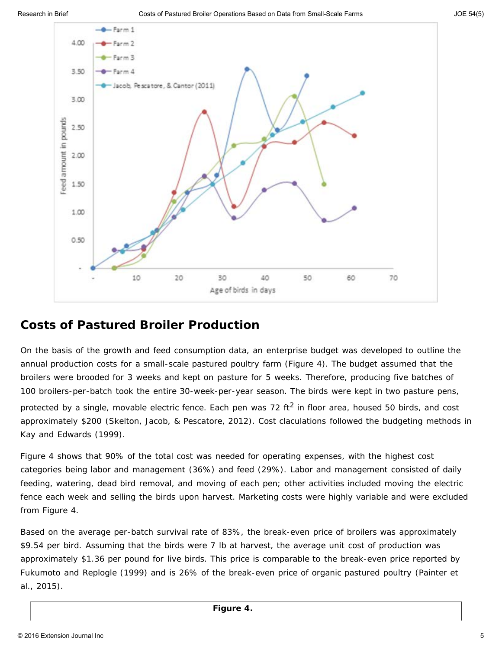

### **Costs of Pastured Broiler Production**

On the basis of the growth and feed consumption data, an enterprise budget was developed to outline the annual production costs for a small-scale pastured poultry farm (Figure 4). The budget assumed that the broilers were brooded for 3 weeks and kept on pasture for 5 weeks. Therefore, producing five batches of 100 broilers-per-batch took the entire 30-week-per-year season. The birds were kept in two pasture pens, protected by a single, movable electric fence. Each pen was 72 ft<sup>2</sup> in floor area, housed 50 birds, and cost

approximately \$200 (Skelton, Jacob, & Pescatore, 2012). Cost claculations followed the budgeting methods in Kay and Edwards (1999).

Figure 4 shows that 90% of the total cost was needed for operating expenses, with the highest cost categories being labor and management (36%) and feed (29%). Labor and management consisted of daily feeding, watering, dead bird removal, and moving of each pen; other activities included moving the electric fence each week and selling the birds upon harvest. Marketing costs were highly variable and were excluded from Figure 4.

Based on the average per-batch survival rate of 83%, the break-even price of broilers was approximately \$9.54 per bird. Assuming that the birds were 7 lb at harvest, the average unit cost of production was approximately \$1.36 per pound for live birds. This price is comparable to the break-even price reported by Fukumoto and Replogle (1999) and is 26% of the break-even price of organic pastured poultry (Painter et al., 2015).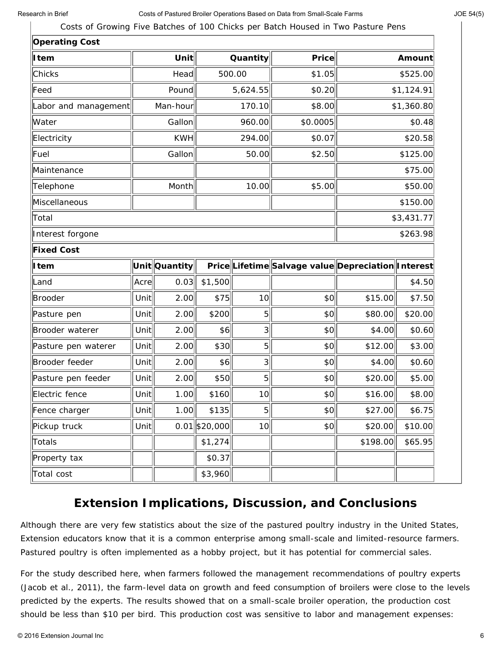Research in Brief **Costs of Pastured Broiler Operations Based on Data from Small-Scale Farms** JOE 54(5) JOE 54(5)

Costs of Growing Five Batches of 100 Chicks per Batch Housed in Two Pasture Pens

| <b>Operating Cost</b> |            |               |                 |                 |                                                    |            |          |
|-----------------------|------------|---------------|-----------------|-----------------|----------------------------------------------------|------------|----------|
| Item                  | Unit       |               | Quantity        |                 | Price                                              |            | Amount   |
| Chicks                |            | Head          | 500.00          |                 | \$1.05                                             | \$525.00   |          |
| $\sf{Feed}$           | Pound      |               | 5,624.55        |                 | \$0.20                                             | \$1,124.91 |          |
| abor and management   | Man-hour   |               | 170.10          |                 | \$8.00                                             | \$1,360.80 |          |
| Water                 | Gallon     |               | 960.00          |                 | \$0.0005                                           | \$0.48     |          |
| Electricity           | <b>KWH</b> |               | 294.00          |                 | \$0.07                                             | \$20.58    |          |
| Fuel                  | Gallon     |               | 50.00           |                 | \$2.50                                             | \$125.00   |          |
| Maintenance           |            |               |                 |                 |                                                    |            | \$75.00  |
| Telephone             | Month      |               | 10.00           |                 | \$5.00                                             | \$50.00    |          |
| Miscellaneous         |            |               |                 |                 |                                                    |            | \$150.00 |
| Total                 |            |               |                 |                 |                                                    | \$3,431.77 |          |
| Interest forgone      |            |               |                 |                 |                                                    | \$263.98   |          |
| <b>Fixed Cost</b>     |            |               |                 |                 |                                                    |            |          |
| <b>I</b> tem          |            | Unit Quantity |                 |                 | Price Lifetime Salvage value Depreciation Interest |            |          |
| Land                  | Acre       | 0.03          | \$1,500         |                 |                                                    |            | \$4.50   |
| Brooder               | Unit       | 2.00          | \$75            | 10              | \$0                                                | \$15.00    | \$7.50   |
| Pasture pen           | Unit       | 2.00          | \$200           | $5\vert$        | SO                                                 | \$80.00    | \$20.00  |
| Brooder waterer       | Unit       | 2.00          | \$6             | 3               | SO                                                 | \$4.00     | \$0.60   |
| Pasture pen waterer   | Unit       | 2.00          | \$30            | 5 <sup>2</sup>  | SO                                                 | \$12.00    | \$3.00   |
| Brooder feeder        | Unit       | 2.00          | \$6             | $\vert 3 \vert$ | \$0                                                | \$4.00     | \$0.60   |
| Pasture pen feeder    | Unit       | 2.00          | \$50            | $5\vert$        | SO                                                 | \$20.00    | \$5.00   |
| Electric fence        | Unit       | 1.00          | \$160           | 10              | 10                                                 | \$16.00    | \$8.00   |
| Fence charger         | Unit       | 1.00          | \$135           | $5\vert$        | SO                                                 | \$27.00    | \$6.75   |
| Pickup truck          | Unit       |               | $0.01$ \$20,000 | 10 <sup>1</sup> | SO                                                 | \$20.00    | \$10.00  |
| Totals                |            |               | \$1,274         |                 |                                                    | \$198.00   | \$65.95  |
| Property tax          |            |               | \$0.37          |                 |                                                    |            |          |
| Total cost            |            |               | \$3,960         |                 |                                                    |            |          |

## **Extension Implications, Discussion, and Conclusions**

Although there are very few statistics about the size of the pastured poultry industry in the United States, Extension educators know that it is a common enterprise among small-scale and limited-resource farmers. Pastured poultry is often implemented as a hobby project, but it has potential for commercial sales.

For the study described here, when farmers followed the management recommendations of poultry experts (Jacob et al., 2011), the farm-level data on growth and feed consumption of broilers were close to the levels predicted by the experts. The results showed that on a small-scale broiler operation, the production cost should be less than \$10 per bird. This production cost was sensitive to labor and management expenses: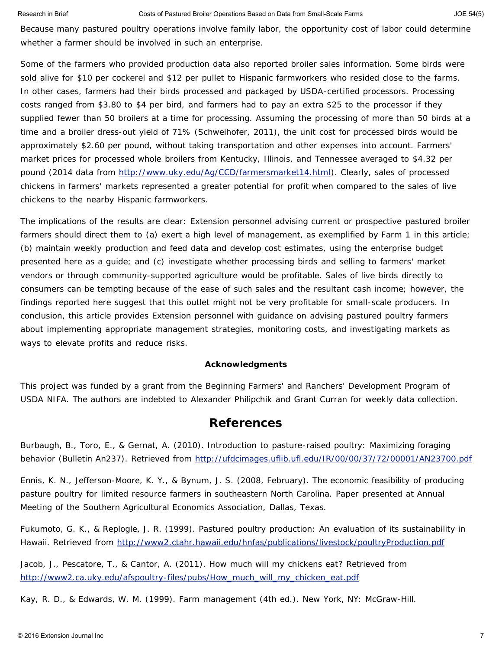#### Research in Brief **Costs of Pastured Broiler Operations Based on Data from Small-Scale Farms** JOE 54(5) JOE 54(5)

Because many pastured poultry operations involve family labor, the opportunity cost of labor could determine whether a farmer should be involved in such an enterprise.

Some of the farmers who provided production data also reported broiler sales information. Some birds were sold alive for \$10 per cockerel and \$12 per pullet to Hispanic farmworkers who resided close to the farms. In other cases, farmers had their birds processed and packaged by USDA-certified processors. Processing costs ranged from \$3.80 to \$4 per bird, and farmers had to pay an extra \$25 to the processor if they supplied fewer than 50 broilers at a time for processing. Assuming the processing of more than 50 birds at a time and a broiler dress-out yield of 71% (Schweihofer, 2011), the unit cost for processed birds would be approximately \$2.60 per pound, without taking transportation and other expenses into account. Farmers' market prices for processed whole broilers from Kentucky, Illinois, and Tennessee averaged to \$4.32 per pound (2014 data from [http://www.uky.edu/Ag/CCD/farmersmarket14.html\)](http://www.uky.edu/Ag/CCD/farmersmarket14.html). Clearly, sales of processed chickens in farmers' markets represented a greater potential for profit when compared to the sales of live chickens to the nearby Hispanic farmworkers.

The implications of the results are clear: Extension personnel advising current or prospective pastured broiler farmers should direct them to (a) exert a high level of management, as exemplified by Farm 1 in this article; (b) maintain weekly production and feed data and develop cost estimates, using the enterprise budget presented here as a guide; and (c) investigate whether processing birds and selling to farmers' market vendors or through community-supported agriculture would be profitable. Sales of live birds directly to consumers can be tempting because of the ease of such sales and the resultant cash income; however, the findings reported here suggest that this outlet might not be very profitable for small-scale producers. In conclusion, this article provides Extension personnel with guidance on advising pastured poultry farmers about implementing appropriate management strategies, monitoring costs, and investigating markets as ways to elevate profits and reduce risks.

#### **Acknowledgments**

This project was funded by a grant from the Beginning Farmers' and Ranchers' Development Program of USDA NIFA. The authors are indebted to Alexander Philipchik and Grant Curran for weekly data collection.

### **References**

Burbaugh, B., Toro, E., & Gernat, A. (2010). *Introduction to pasture-raised poultry: Maximizing foraging behavior* (Bulletin An237). Retrieved from <http://ufdcimages.uflib.ufl.edu/IR/00/00/37/72/00001/AN23700.pdf>

Ennis, K. N., Jefferson-Moore, K. Y., & Bynum, J. S. (2008, February). *The economic feasibility of producing pasture poultry for limited resource farmers in southeastern North Carolina.* Paper presented at Annual Meeting of the Southern Agricultural Economics Association, Dallas, Texas.

Fukumoto, G. K., & Replogle, J. R. (1999). *Pastured poultry production: An evaluation of its sustainability in* Hawaii. Retrieved from <http://www2.ctahr.hawaii.edu/hnfas/publications/livestock/poultryProduction.pdf>

Jacob, J., Pescatore, T., & Cantor, A. (2011). *How much will my chickens eat?* Retrieved from [http://www2.ca.uky.edu/afspoultry-files/pubs/How\\_much\\_will\\_my\\_chicken\\_eat.pdf](http://www2.ca.uky.edu/afspoultry-files/pubs/How_much_will_my_chicken_eat.pdf)

Kay, R. D., & Edwards, W. M. (1999). *Farm management* (4th ed.). New York, NY: McGraw-Hill.